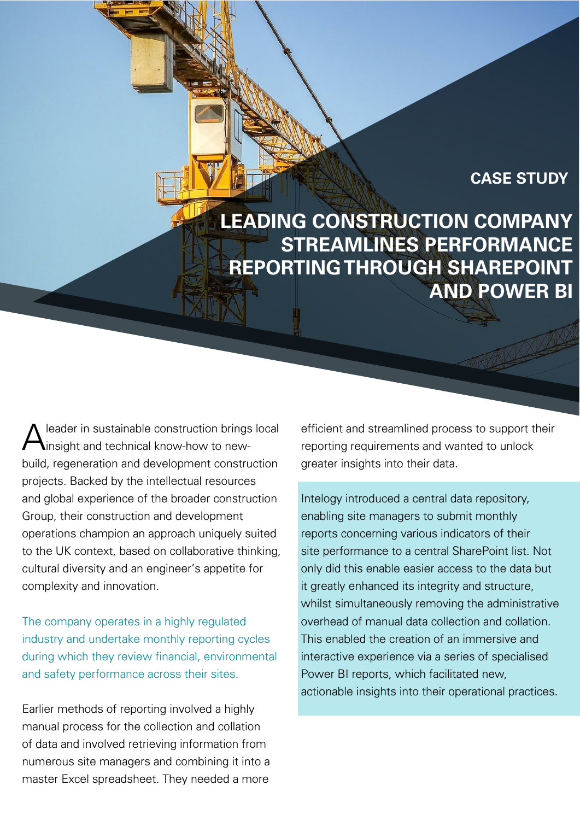### **CASE STUDY**

**LEADING CONSTRUCTION COMPANY STREAMLINES PERFORMANCE REPORTING THROUGH SHAREPOINT AND POWER BI**

leader in sustainable construction brings local insight and technical know-how to newbuild, regeneration and development construction projects. Backed by the intellectual resources and global experience of the broader construction Group, their construction and development operations champion an approach uniquely suited to the UK context, based on collaborative thinking, cultural diversity and an engineer's appetite for complexity and innovation.

The company operates in a highly regulated industry and undertake monthly reporting cycles during which they review financial, environmental and safety performance across their sites.

Earlier methods of reporting involved a highly manual process for the collection and collation of data and involved retrieving information from numerous site managers and combining it into a master Excel spreadsheet. They needed a more

efficient and streamlined process to support their reporting requirements and wanted to unlock greater insights into their data.

Intelogy introduced a central data repository, enabling site managers to submit monthly reports concerning various indicators of their site performance to a central SharePoint list. Not only did this enable easier access to the data but it greatly enhanced its integrity and structure, whilst simultaneously removing the administrative overhead of manual data collection and collation. This enabled the creation of an immersive and interactive experience via a series of specialised Power BI reports, which facilitated new, actionable insights into their operational practices.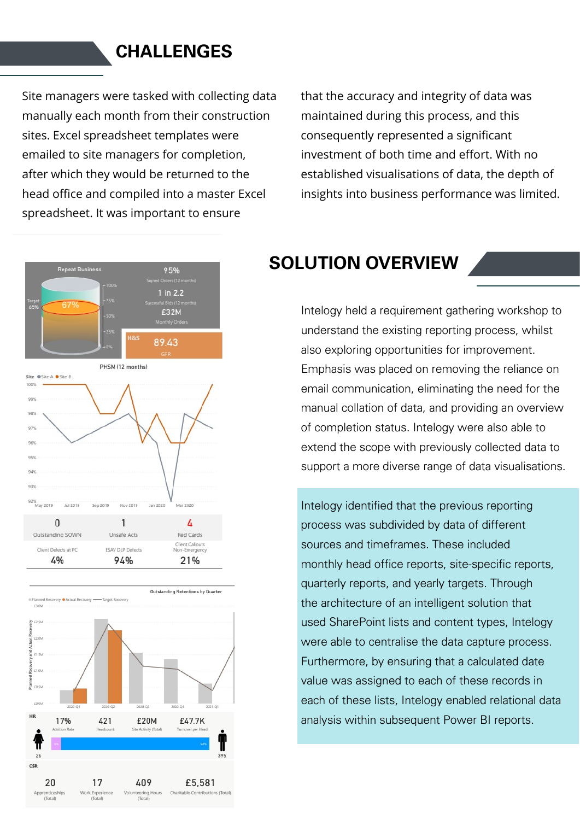### **CHALLENGES**

Site managers were tasked with collecting data manually each month from their construction sites. Excel spreadsheet templates were emailed to site managers for completion, after which they would be returned to the head office and compiled into a master Excel spreadsheet. It was important to ensure

that the accuracy and integrity of data was maintained during this process, and this consequently represented a significant investment of both time and effort. With no established visualisations of data, the depth of insights into business performance was limited.





# **SOLUTION OVERVIEW**

Intelogy held a requirement gathering workshop to understand the existing reporting process, whilst also exploring opportunities for improvement. Emphasis was placed on removing the reliance on email communication, eliminating the need for the manual collation of data, and providing an overview of completion status. Intelogy were also able to extend the scope with previously collected data to support a more diverse range of data visualisations.

Intelogy identified that the previous reporting process was subdivided by data of different sources and timeframes. These included monthly head office reports, site-specific reports, quarterly reports, and yearly targets. Through the architecture of an intelligent solution that used SharePoint lists and content types, Intelogy were able to centralise the data capture process. Furthermore, by ensuring that a calculated date value was assigned to each of these records in each of these lists, Intelogy enabled relational data analysis within subsequent Power BI reports.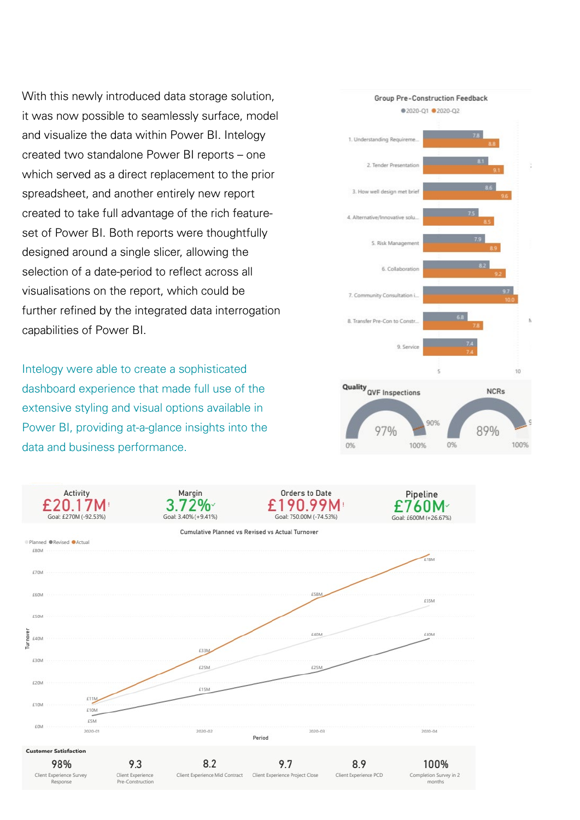With this newly introduced data storage solution, it was now possible to seamlessly surface, model and visualize the data within Power BI. Intelogy created two standalone Power BI reports – one which served as a direct replacement to the prior spreadsheet, and another entirely new report created to take full advantage of the rich featureset of Power BI. Both reports were thoughtfully designed around a single slicer, allowing the selection of a date-period to reflect across all visualisations on the report, which could be further refined by the integrated data interrogation capabilities of Power BI.

Intelogy were able to create a sophisticated dashboard experience that made full use of the extensive styling and visual options available in Power BI, providing at-a-glance insights into the data and business performance.